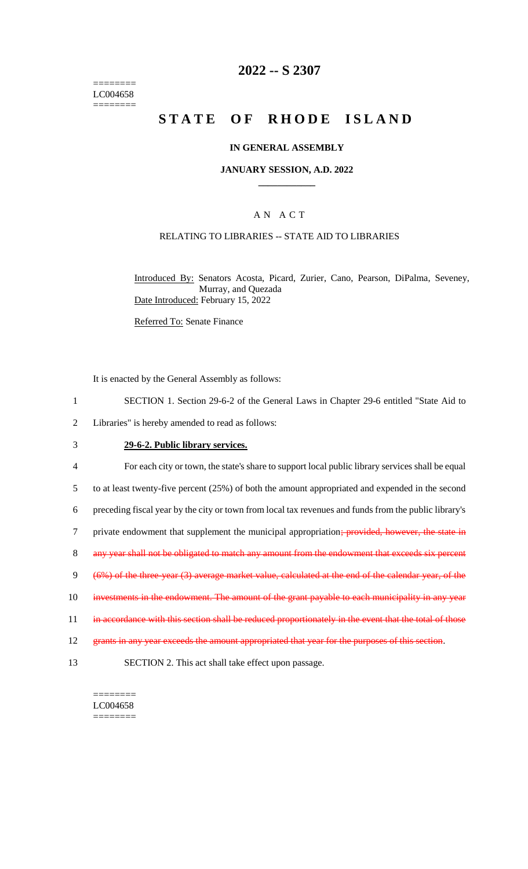======== LC004658 ========

### **2022 -- S 2307**

# **STATE OF RHODE ISLAND**

#### **IN GENERAL ASSEMBLY**

#### **JANUARY SESSION, A.D. 2022 \_\_\_\_\_\_\_\_\_\_\_\_**

#### A N A C T

#### RELATING TO LIBRARIES -- STATE AID TO LIBRARIES

Introduced By: Senators Acosta, Picard, Zurier, Cano, Pearson, DiPalma, Seveney, Murray, and Quezada Date Introduced: February 15, 2022

Referred To: Senate Finance

It is enacted by the General Assembly as follows:

- 1 SECTION 1. Section 29-6-2 of the General Laws in Chapter 29-6 entitled "State Aid to
- 2 Libraries" is hereby amended to read as follows:

#### 3 **29-6-2. Public library services.**

4 For each city or town, the state's share to support local public library services shall be equal 5 to at least twenty-five percent (25%) of both the amount appropriated and expended in the second 6 preceding fiscal year by the city or town from local tax revenues and funds from the public library's 7 private endowment that supplement the municipal appropriation; provided, however, the state in 8 any year shall not be obligated to match any amount from the endowment that exceeds six percent 9 (6%) of the three-year (3) average market value, calculated at the end of the calendar year, of the 10 investments in the endowment. The amount of the grant payable to each municipality in any year 11 in accordance with this section shall be reduced proportionately in the event that the total of those 12 grants in any year exceeds the amount appropriated that year for the purposes of this section. 13 SECTION 2. This act shall take effect upon passage.

======== LC004658 ========